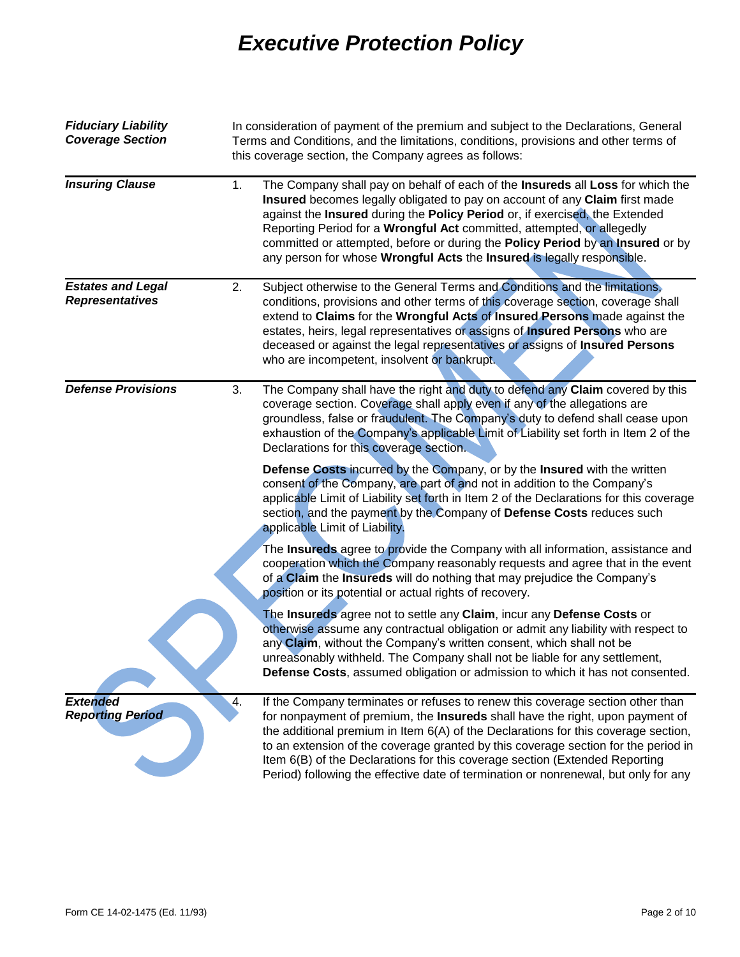| <b>Fiduciary Liability</b><br><b>Coverage Section</b> |    | In consideration of payment of the premium and subject to the Declarations, General<br>Terms and Conditions, and the limitations, conditions, provisions and other terms of<br>this coverage section, the Company agrees as follows:                                                                                                                                                                                                                                                                              |
|-------------------------------------------------------|----|-------------------------------------------------------------------------------------------------------------------------------------------------------------------------------------------------------------------------------------------------------------------------------------------------------------------------------------------------------------------------------------------------------------------------------------------------------------------------------------------------------------------|
| <b>Insuring Clause</b>                                | 1. | The Company shall pay on behalf of each of the Insureds all Loss for which the<br>Insured becomes legally obligated to pay on account of any Claim first made<br>against the Insured during the Policy Period or, if exercised, the Extended<br>Reporting Period for a Wrongful Act committed, attempted, or allegedly<br>committed or attempted, before or during the Policy Period by an Insured or by<br>any person for whose Wrongful Acts the Insured is legally responsible.                                |
| <b>Estates and Legal</b><br><b>Representatives</b>    | 2. | Subject otherwise to the General Terms and Conditions and the limitations,<br>conditions, provisions and other terms of this coverage section, coverage shall<br>extend to Claims for the Wrongful Acts of Insured Persons made against the<br>estates, heirs, legal representatives or assigns of Insured Persons who are<br>deceased or against the legal representatives or assigns of Insured Persons<br>who are incompetent, insolvent or bankrupt.                                                          |
| <b>Defense Provisions</b>                             | 3. | The Company shall have the right and duty to defend any Claim covered by this<br>coverage section. Coverage shall apply even if any of the allegations are<br>groundless, false or fraudulent. The Company's duty to defend shall cease upon<br>exhaustion of the Company's applicable Limit of Liability set forth in Item 2 of the<br>Declarations for this coverage section.                                                                                                                                   |
|                                                       |    | Defense Costs incurred by the Company, or by the Insured with the written<br>consent of the Company, are part of and not in addition to the Company's<br>applicable Limit of Liability set forth in Item 2 of the Declarations for this coverage<br>section, and the payment by the Company of Defense Costs reduces such<br>applicable Limit of Liability.                                                                                                                                                       |
|                                                       |    | The Insureds agree to provide the Company with all information, assistance and<br>cooperation which the Company reasonably requests and agree that in the event<br>of a Claim the Insureds will do nothing that may prejudice the Company's<br>position or its potential or actual rights of recovery.                                                                                                                                                                                                            |
|                                                       |    | The Insureds agree not to settle any Claim, incur any Defense Costs or<br>otherwise assume any contractual obligation or admit any liability with respect to<br>any Claim, without the Company's written consent, which shall not be<br>unreasonably withheld. The Company shall not be liable for any settlement,<br>Defense Costs, assumed obligation or admission to which it has not consented.                                                                                                               |
| <b>Extended</b><br><b>Reporting Period</b>            | 4. | If the Company terminates or refuses to renew this coverage section other than<br>for nonpayment of premium, the Insureds shall have the right, upon payment of<br>the additional premium in Item 6(A) of the Declarations for this coverage section,<br>to an extension of the coverage granted by this coverage section for the period in<br>Item 6(B) of the Declarations for this coverage section (Extended Reporting<br>Period) following the effective date of termination or nonrenewal, but only for any |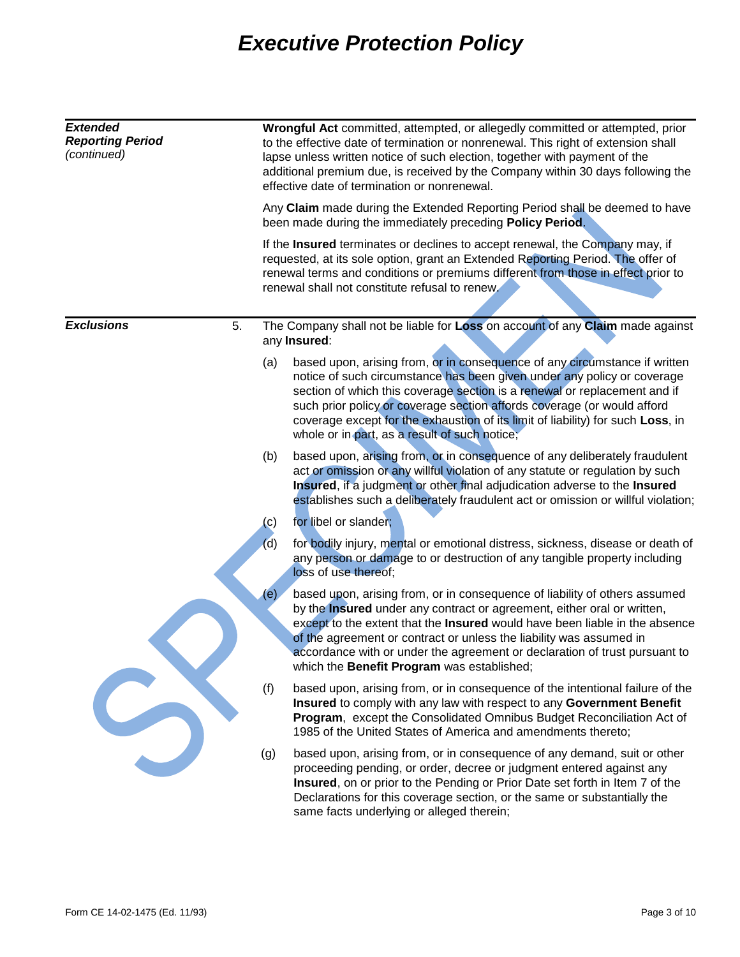| <b>Extended</b><br><b>Reporting Period</b><br>(continued) |            | Wrongful Act committed, attempted, or allegedly committed or attempted, prior<br>to the effective date of termination or nonrenewal. This right of extension shall<br>lapse unless written notice of such election, together with payment of the<br>additional premium due, is received by the Company within 30 days following the<br>effective date of termination or nonrenewal.                                                               |  |  |  |
|-----------------------------------------------------------|------------|---------------------------------------------------------------------------------------------------------------------------------------------------------------------------------------------------------------------------------------------------------------------------------------------------------------------------------------------------------------------------------------------------------------------------------------------------|--|--|--|
|                                                           |            | Any Claim made during the Extended Reporting Period shall be deemed to have<br>been made during the immediately preceding Policy Period.<br>If the Insured terminates or declines to accept renewal, the Company may, if<br>requested, at its sole option, grant an Extended Reporting Period. The offer of<br>renewal terms and conditions or premiums different from those in effect prior to<br>renewal shall not constitute refusal to renew. |  |  |  |
|                                                           |            |                                                                                                                                                                                                                                                                                                                                                                                                                                                   |  |  |  |
| <b>Exclusions</b><br>5.                                   |            | The Company shall not be liable for Loss on account of any Claim made against<br>any Insured:                                                                                                                                                                                                                                                                                                                                                     |  |  |  |
|                                                           | (a)        | based upon, arising from, or in consequence of any circumstance if written<br>notice of such circumstance has been given under any policy or coverage<br>section of which this coverage section is a renewal or replacement and if<br>such prior policy or coverage section affords coverage (or would afford<br>coverage except for the exhaustion of its limit of liability) for such Loss, in<br>whole or in part, as a result of such notice; |  |  |  |
|                                                           | (b)        | based upon, arising from, or in consequence of any deliberately fraudulent<br>act or omission or any willful violation of any statute or regulation by such<br>Insured, if a judgment or other final adjudication adverse to the Insured<br>establishes such a deliberately fraudulent act or omission or willful violation;                                                                                                                      |  |  |  |
|                                                           | (c)<br>(d) | for libel or slander;<br>for bodily injury, mental or emotional distress, sickness, disease or death of<br>any person or damage to or destruction of any tangible property including<br>loss of use thereof;                                                                                                                                                                                                                                      |  |  |  |
|                                                           | (e)        | based upon, arising from, or in consequence of liability of others assumed<br>by the <b>Insured</b> under any contract or agreement, either oral or written,<br>except to the extent that the Insured would have been liable in the absence<br>of the agreement or contract or unless the liability was assumed in<br>accordance with or under the agreement or declaration of trust pursuant to<br>which the Benefit Program was established;    |  |  |  |
|                                                           | (f)        | based upon, arising from, or in consequence of the intentional failure of the<br>Insured to comply with any law with respect to any Government Benefit<br>Program, except the Consolidated Omnibus Budget Reconciliation Act of<br>1985 of the United States of America and amendments thereto;                                                                                                                                                   |  |  |  |
|                                                           | (g)        | based upon, arising from, or in consequence of any demand, suit or other<br>proceeding pending, or order, decree or judgment entered against any<br>Insured, on or prior to the Pending or Prior Date set forth in Item 7 of the<br>Declarations for this coverage section, or the same or substantially the                                                                                                                                      |  |  |  |

same facts underlying or alleged therein;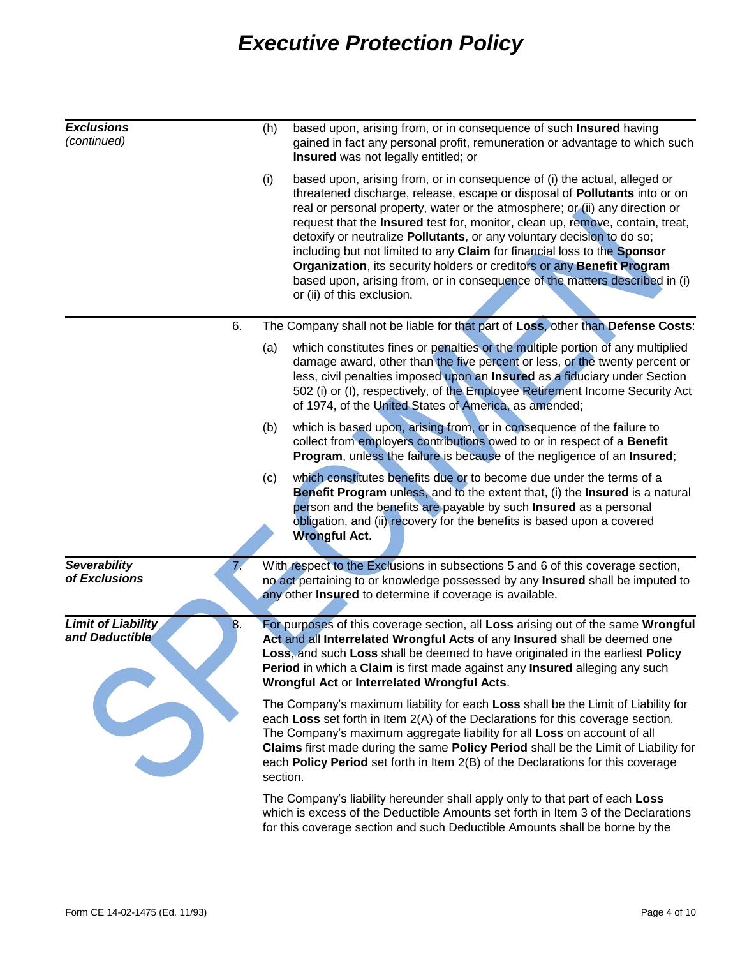| <b>Exclusions</b><br>(continued)                  | (h)      | based upon, arising from, or in consequence of such Insured having<br>gained in fact any personal profit, remuneration or advantage to which such<br>Insured was not legally entitled; or                                                                                                                                                                                                                                                                                                                                                                                                                                                                             |
|---------------------------------------------------|----------|-----------------------------------------------------------------------------------------------------------------------------------------------------------------------------------------------------------------------------------------------------------------------------------------------------------------------------------------------------------------------------------------------------------------------------------------------------------------------------------------------------------------------------------------------------------------------------------------------------------------------------------------------------------------------|
|                                                   | (i)      | based upon, arising from, or in consequence of (i) the actual, alleged or<br>threatened discharge, release, escape or disposal of Pollutants into or on<br>real or personal property, water or the atmosphere; or (ii) any direction or<br>request that the Insured test for, monitor, clean up, remove, contain, treat,<br>detoxify or neutralize Pollutants, or any voluntary decision to do so;<br>including but not limited to any Claim for financial loss to the Sponsor<br>Organization, its security holders or creditors or any Benefit Program<br>based upon, arising from, or in consequence of the matters described in (i)<br>or (ii) of this exclusion. |
| 6.                                                |          | The Company shall not be liable for that part of Loss, other than Defense Costs:                                                                                                                                                                                                                                                                                                                                                                                                                                                                                                                                                                                      |
|                                                   | (a)      | which constitutes fines or penalties or the multiple portion of any multiplied<br>damage award, other than the five percent or less, or the twenty percent or<br>less, civil penalties imposed upon an Insured as a fiduciary under Section<br>502 (i) or (I), respectively, of the Employee Retirement Income Security Act<br>of 1974, of the United States of America, as amended;                                                                                                                                                                                                                                                                                  |
|                                                   | (b)      | which is based upon, arising from, or in consequence of the failure to<br>collect from employers contributions owed to or in respect of a Benefit<br>Program, unless the failure is because of the negligence of an Insured;                                                                                                                                                                                                                                                                                                                                                                                                                                          |
|                                                   | (c)      | which constitutes benefits due or to become due under the terms of a<br>Benefit Program unless, and to the extent that, (i) the Insured is a natural<br>person and the benefits are payable by such Insured as a personal<br>obligation, and (ii) recovery for the benefits is based upon a covered<br><b>Wrongful Act.</b>                                                                                                                                                                                                                                                                                                                                           |
| <b>Severability</b><br>of Exclusions              |          | With respect to the Exclusions in subsections 5 and 6 of this coverage section,<br>no act pertaining to or knowledge possessed by any Insured shall be imputed to<br>any other Insured to determine if coverage is available.                                                                                                                                                                                                                                                                                                                                                                                                                                         |
| <b>Limit of Liability</b><br>8.<br>and Deductible |          | For purposes of this coverage section, all Loss arising out of the same Wrongful<br>Act and all Interrelated Wrongful Acts of any Insured shall be deemed one<br>Loss, and such Loss shall be deemed to have originated in the earliest Policy<br>Period in which a Claim is first made against any Insured alleging any such<br>Wrongful Act or Interrelated Wrongful Acts.                                                                                                                                                                                                                                                                                          |
|                                                   | section. | The Company's maximum liability for each Loss shall be the Limit of Liability for<br>each Loss set forth in Item 2(A) of the Declarations for this coverage section.<br>The Company's maximum aggregate liability for all Loss on account of all<br>Claims first made during the same Policy Period shall be the Limit of Liability for<br>each Policy Period set forth in Item 2(B) of the Declarations for this coverage                                                                                                                                                                                                                                            |
|                                                   |          | The Company's liability hereunder shall apply only to that part of each Loss<br>which is excess of the Deductible Amounts set forth in Item 3 of the Declarations<br>for this coverage section and such Deductible Amounts shall be borne by the                                                                                                                                                                                                                                                                                                                                                                                                                      |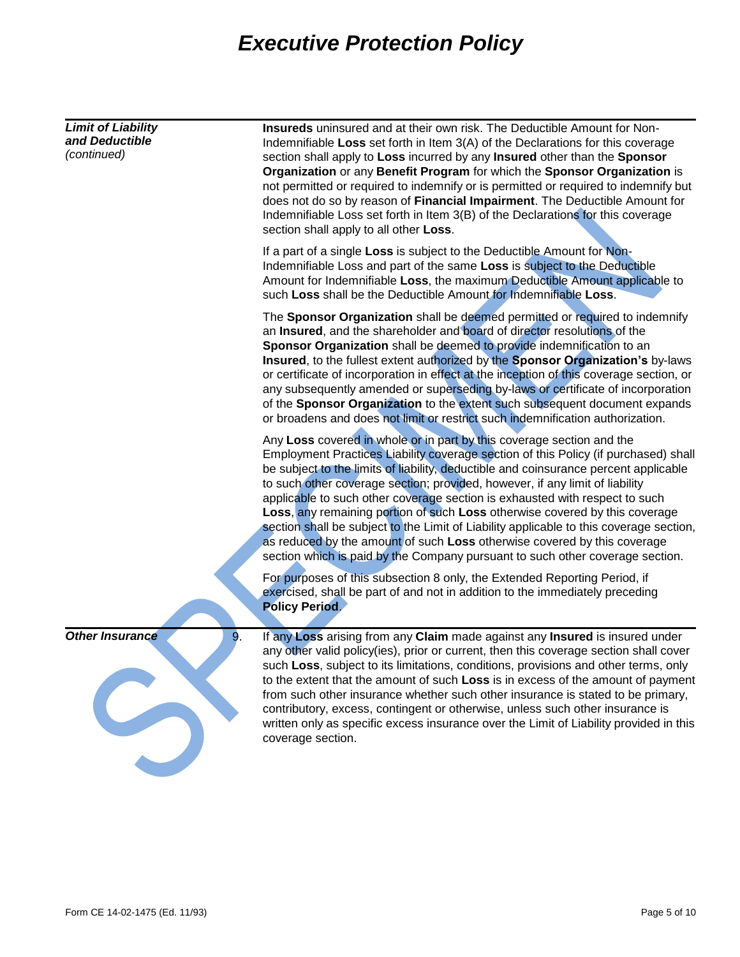| <b>Limit of Liability</b><br>and Deductible<br>(continued) | Insureds uninsured and at their own risk. The Deductible Amount for Non-<br>Indemnifiable Loss set forth in Item 3(A) of the Declarations for this coverage<br>section shall apply to Loss incurred by any Insured other than the Sponsor<br>Organization or any Benefit Program for which the Sponsor Organization is<br>not permitted or required to indemnify or is permitted or required to indemnify but<br>does not do so by reason of Financial Impairment. The Deductible Amount for<br>Indemnifiable Loss set forth in Item 3(B) of the Declarations for this coverage<br>section shall apply to all other Loss.                                                                                                                                  |  |  |
|------------------------------------------------------------|------------------------------------------------------------------------------------------------------------------------------------------------------------------------------------------------------------------------------------------------------------------------------------------------------------------------------------------------------------------------------------------------------------------------------------------------------------------------------------------------------------------------------------------------------------------------------------------------------------------------------------------------------------------------------------------------------------------------------------------------------------|--|--|
|                                                            | If a part of a single Loss is subject to the Deductible Amount for Non-<br>Indemnifiable Loss and part of the same Loss is subject to the Deductible<br>Amount for Indemnifiable Loss, the maximum Deductible Amount applicable to<br>such Loss shall be the Deductible Amount for Indemnifiable Loss.                                                                                                                                                                                                                                                                                                                                                                                                                                                     |  |  |
|                                                            | The Sponsor Organization shall be deemed permitted or required to indemnify<br>an Insured, and the shareholder and board of director resolutions of the<br>Sponsor Organization shall be deemed to provide indemnification to an<br>Insured, to the fullest extent authorized by the Sponsor Organization's by-laws<br>or certificate of incorporation in effect at the inception of this coverage section, or<br>any subsequently amended or superseding by-laws or certificate of incorporation<br>of the Sponsor Organization to the extent such subsequent document expands<br>or broadens and does not limit or restrict such indemnification authorization.                                                                                          |  |  |
|                                                            | Any Loss covered in whole or in part by this coverage section and the<br>Employment Practices Liability coverage section of this Policy (if purchased) shall<br>be subject to the limits of liability, deductible and coinsurance percent applicable<br>to such other coverage section; provided, however, if any limit of liability<br>applicable to such other coverage section is exhausted with respect to such<br>Loss, any remaining portion of such Loss otherwise covered by this coverage<br>section shall be subject to the Limit of Liability applicable to this coverage section,<br>as reduced by the amount of such Loss otherwise covered by this coverage<br>section which is paid by the Company pursuant to such other coverage section. |  |  |
|                                                            | For purposes of this subsection 8 only, the Extended Reporting Period, if<br>exercised, shall be part of and not in addition to the immediately preceding<br><b>Policy Period.</b>                                                                                                                                                                                                                                                                                                                                                                                                                                                                                                                                                                         |  |  |
| <b>Other Insurance</b><br>9.                               | If any Loss arising from any Claim made against any Insured is insured under<br>any other valid policy(ies), prior or current, then this coverage section shall cover<br>such Loss, subject to its limitations, conditions, provisions and other terms, only<br>to the extent that the amount of such Loss is in excess of the amount of payment<br>from such other insurance whether such other insurance is stated to be primary,<br>contributory, excess, contingent or otherwise, unless such other insurance is<br>written only as specific excess insurance over the Limit of Liability provided in this<br>coverage section.                                                                                                                        |  |  |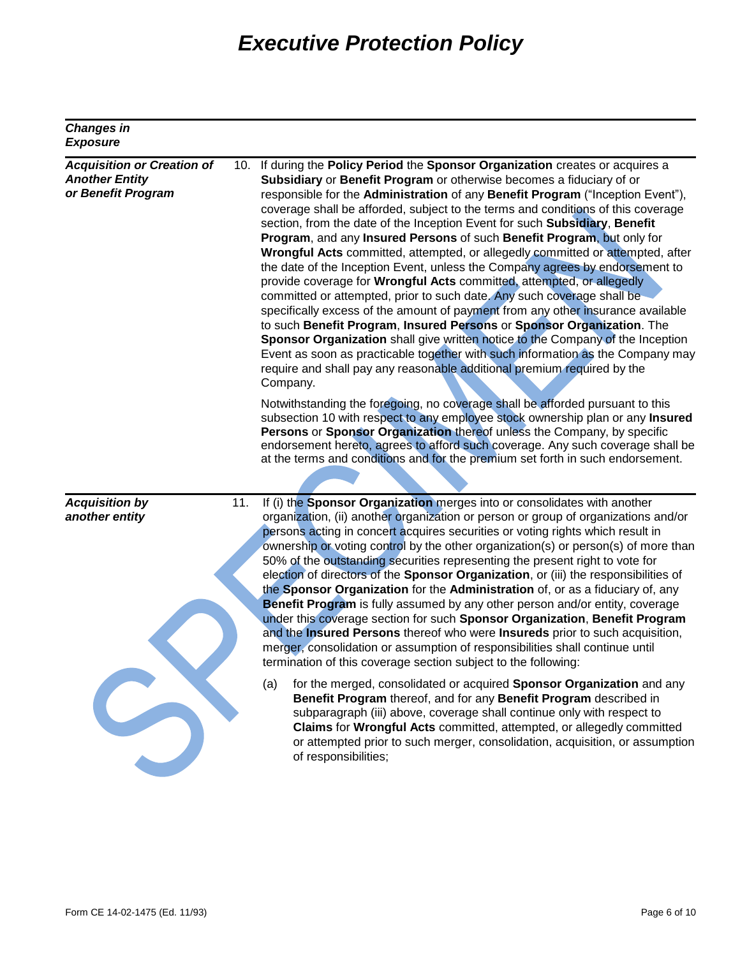| <b>Changes in</b><br><b>Exposure</b>                                             |                                                                                                                                                                                                                                                                                                                                                                                                                                                                                                                                                                                                                                                                                                                                                                                                                                                                                                                                                                                                                                                                                                                                                                                                                                  |
|----------------------------------------------------------------------------------|----------------------------------------------------------------------------------------------------------------------------------------------------------------------------------------------------------------------------------------------------------------------------------------------------------------------------------------------------------------------------------------------------------------------------------------------------------------------------------------------------------------------------------------------------------------------------------------------------------------------------------------------------------------------------------------------------------------------------------------------------------------------------------------------------------------------------------------------------------------------------------------------------------------------------------------------------------------------------------------------------------------------------------------------------------------------------------------------------------------------------------------------------------------------------------------------------------------------------------|
| <b>Acquisition or Creation of</b><br><b>Another Entity</b><br>or Benefit Program | 10. If during the Policy Period the Sponsor Organization creates or acquires a<br>Subsidiary or Benefit Program or otherwise becomes a fiduciary of or<br>responsible for the Administration of any Benefit Program ("Inception Event"),<br>coverage shall be afforded, subject to the terms and conditions of this coverage<br>section, from the date of the Inception Event for such Subsidiary, Benefit<br>Program, and any Insured Persons of such Benefit Program, but only for<br>Wrongful Acts committed, attempted, or allegedly committed or attempted, after<br>the date of the Inception Event, unless the Company agrees by endorsement to<br>provide coverage for Wrongful Acts committed, attempted, or allegedly<br>committed or attempted, prior to such date. Any such coverage shall be<br>specifically excess of the amount of payment from any other insurance available<br>to such Benefit Program, Insured Persons or Sponsor Organization. The<br>Sponsor Organization shall give written notice to the Company of the Inception<br>Event as soon as practicable together with such information as the Company may<br>require and shall pay any reasonable additional premium required by the<br>Company. |
|                                                                                  | Notwithstanding the foregoing, no coverage shall be afforded pursuant to this<br>subsection 10 with respect to any employee stock ownership plan or any Insured<br>Persons or Sponsor Organization thereof unless the Company, by specific<br>endorsement hereto, agrees to afford such coverage. Any such coverage shall be<br>at the terms and conditions and for the premium set forth in such endorsement.                                                                                                                                                                                                                                                                                                                                                                                                                                                                                                                                                                                                                                                                                                                                                                                                                   |
| <b>Acquisition by</b><br>11.<br>another entity                                   | If (i) the Sponsor Organization merges into or consolidates with another<br>organization, (ii) another organization or person or group of organizations and/or<br>persons acting in concert acquires securities or voting rights which result in<br>ownership or voting control by the other organization(s) or person(s) of more than<br>50% of the outstanding securities representing the present right to vote for<br>election of directors of the Sponsor Organization, or (iii) the responsibilities of<br>the Sponsor Organization for the Administration of, or as a fiduciary of, any<br>Benefit Program is fully assumed by any other person and/or entity, coverage<br>under this coverage section for such Sponsor Organization, Benefit Program<br>and the Insured Persons thereof who were Insureds prior to such acquisition,<br>merger, consolidation or assumption of responsibilities shall continue until<br>termination of this coverage section subject to the following:                                                                                                                                                                                                                                   |
|                                                                                  | for the merged, consolidated or acquired Sponsor Organization and any<br>(a)<br>Benefit Program thereof, and for any Benefit Program described in<br>subparagraph (iii) above, coverage shall continue only with respect to<br>Claims for Wrongful Acts committed, attempted, or allegedly committed<br>or attempted prior to such merger, consolidation, acquisition, or assumption<br>of responsibilities;                                                                                                                                                                                                                                                                                                                                                                                                                                                                                                                                                                                                                                                                                                                                                                                                                     |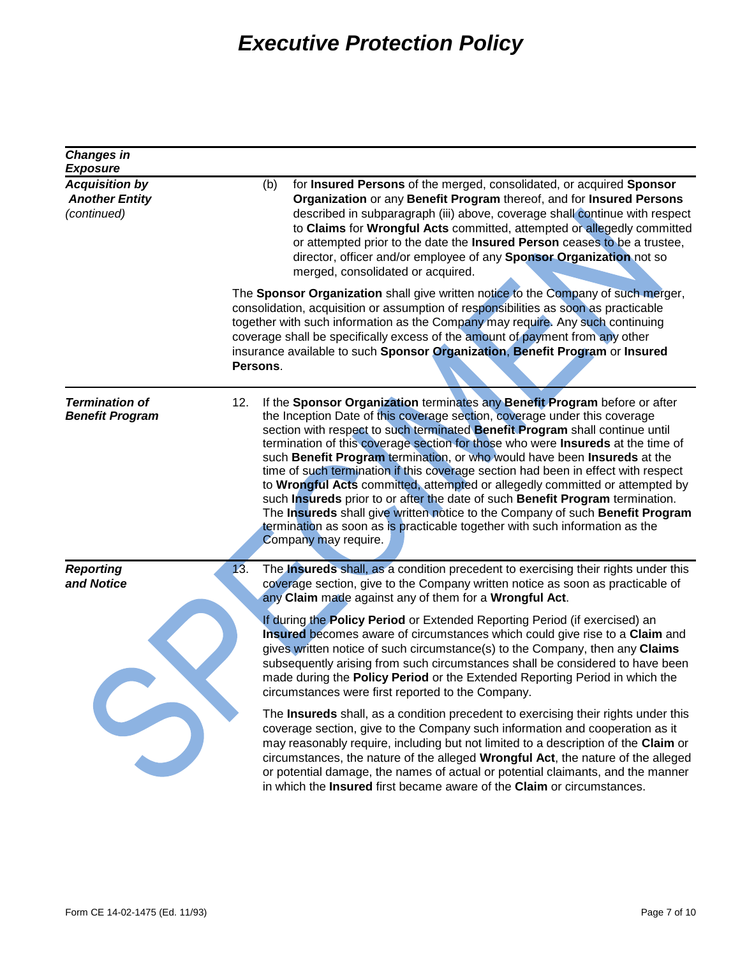| <b>Changes in</b><br><b>Exposure</b>                          |     |                                                                                                                                                                                                                                                                                                                                                                                                                                                                                                                                                                                                                                                                                                                                                                                                                                                             |
|---------------------------------------------------------------|-----|-------------------------------------------------------------------------------------------------------------------------------------------------------------------------------------------------------------------------------------------------------------------------------------------------------------------------------------------------------------------------------------------------------------------------------------------------------------------------------------------------------------------------------------------------------------------------------------------------------------------------------------------------------------------------------------------------------------------------------------------------------------------------------------------------------------------------------------------------------------|
| <b>Acquisition by</b><br><b>Another Entity</b><br>(continued) |     | for Insured Persons of the merged, consolidated, or acquired Sponsor<br>(b)<br>Organization or any Benefit Program thereof, and for Insured Persons<br>described in subparagraph (iii) above, coverage shall continue with respect<br>to Claims for Wrongful Acts committed, attempted or allegedly committed<br>or attempted prior to the date the Insured Person ceases to be a trustee,<br>director, officer and/or employee of any Sponsor Organization not so<br>merged, consolidated or acquired.                                                                                                                                                                                                                                                                                                                                                     |
|                                                               |     | The Sponsor Organization shall give written notice to the Company of such merger,<br>consolidation, acquisition or assumption of responsibilities as soon as practicable<br>together with such information as the Company may require. Any such continuing<br>coverage shall be specifically excess of the amount of payment from any other<br>insurance available to such Sponsor Organization, Benefit Program or Insured<br>Persons.                                                                                                                                                                                                                                                                                                                                                                                                                     |
| <b>Termination of</b><br><b>Benefit Program</b>               | 12. | If the Sponsor Organization terminates any Benefit Program before or after<br>the Inception Date of this coverage section, coverage under this coverage<br>section with respect to such terminated Benefit Program shall continue until<br>termination of this coverage section for those who were <b>Insureds</b> at the time of<br>such Benefit Program termination, or who would have been Insureds at the<br>time of such termination if this coverage section had been in effect with respect<br>to Wrongful Acts committed, attempted or allegedly committed or attempted by<br>such Insureds prior to or after the date of such Benefit Program termination.<br>The Insureds shall give written notice to the Company of such Benefit Program<br>termination as soon as is practicable together with such information as the<br>Company may require. |
| <b>Reporting</b><br>and Notice                                | 13. | The <b>Insureds</b> shall, as a condition precedent to exercising their rights under this<br>coverage section, give to the Company written notice as soon as practicable of<br>any Claim made against any of them for a Wrongful Act.                                                                                                                                                                                                                                                                                                                                                                                                                                                                                                                                                                                                                       |
|                                                               |     | If during the Policy Period or Extended Reporting Period (if exercised) an<br>Insured becomes aware of circumstances which could give rise to a Claim and<br>gives written notice of such circumstance(s) to the Company, then any Claims<br>subsequently arising from such circumstances shall be considered to have been<br>made during the Policy Period or the Extended Reporting Period in which the<br>circumstances were first reported to the Company.                                                                                                                                                                                                                                                                                                                                                                                              |
|                                                               |     | The Insureds shall, as a condition precedent to exercising their rights under this<br>coverage section, give to the Company such information and cooperation as it<br>may reasonably require, including but not limited to a description of the Claim or<br>circumstances, the nature of the alleged Wrongful Act, the nature of the alleged<br>or potential damage, the names of actual or potential claimants, and the manner<br>in which the Insured first became aware of the Claim or circumstances.                                                                                                                                                                                                                                                                                                                                                   |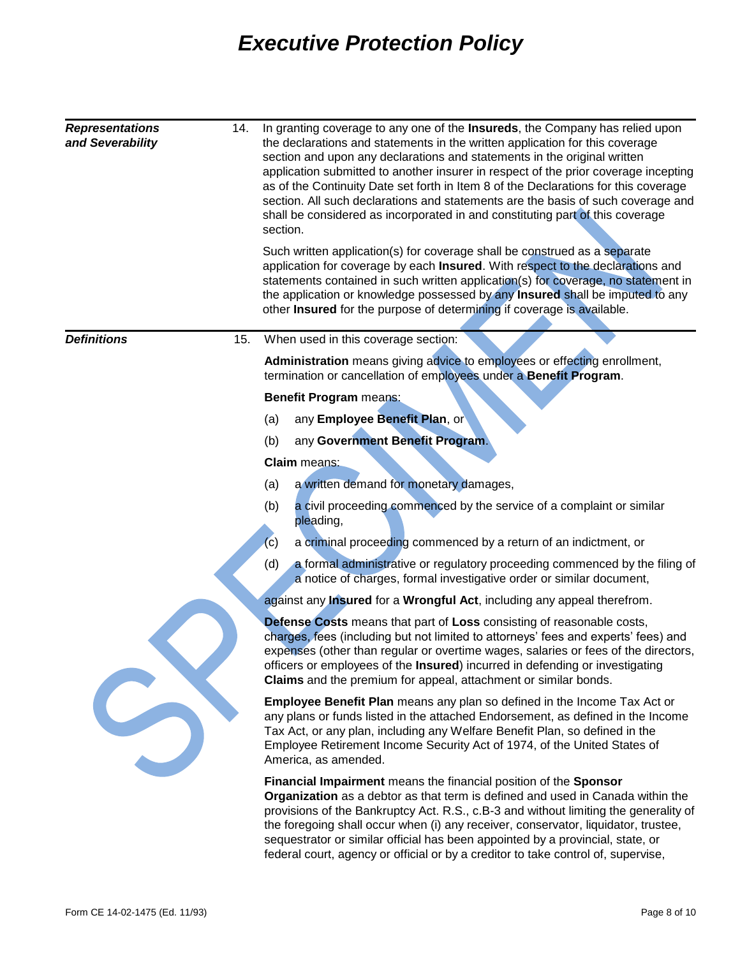| <b>Representations</b><br>14.<br>and Severability |  | In granting coverage to any one of the Insureds, the Company has relied upon<br>the declarations and statements in the written application for this coverage<br>section and upon any declarations and statements in the original written<br>application submitted to another insurer in respect of the prior coverage incepting<br>as of the Continuity Date set forth in Item 8 of the Declarations for this coverage<br>section. All such declarations and statements are the basis of such coverage and<br>shall be considered as incorporated in and constituting part of this coverage<br>section. |  |
|---------------------------------------------------|--|---------------------------------------------------------------------------------------------------------------------------------------------------------------------------------------------------------------------------------------------------------------------------------------------------------------------------------------------------------------------------------------------------------------------------------------------------------------------------------------------------------------------------------------------------------------------------------------------------------|--|
|                                                   |  | Such written application(s) for coverage shall be construed as a separate<br>application for coverage by each Insured. With respect to the declarations and<br>statements contained in such written application(s) for coverage, no statement in<br>the application or knowledge possessed by any Insured shall be imputed to any<br>other Insured for the purpose of determining if coverage is available.                                                                                                                                                                                             |  |
| <b>Definitions</b><br>15.                         |  | When used in this coverage section:                                                                                                                                                                                                                                                                                                                                                                                                                                                                                                                                                                     |  |
|                                                   |  | Administration means giving advice to employees or effecting enrollment,<br>termination or cancellation of employees under a Benefit Program.                                                                                                                                                                                                                                                                                                                                                                                                                                                           |  |
|                                                   |  | <b>Benefit Program means:</b>                                                                                                                                                                                                                                                                                                                                                                                                                                                                                                                                                                           |  |
|                                                   |  | any Employee Benefit Plan, or<br>(a)                                                                                                                                                                                                                                                                                                                                                                                                                                                                                                                                                                    |  |
|                                                   |  | any Government Benefit Program.<br>(b)                                                                                                                                                                                                                                                                                                                                                                                                                                                                                                                                                                  |  |
|                                                   |  | <b>Claim</b> means:                                                                                                                                                                                                                                                                                                                                                                                                                                                                                                                                                                                     |  |
|                                                   |  | a written demand for monetary damages,<br>(a)                                                                                                                                                                                                                                                                                                                                                                                                                                                                                                                                                           |  |
|                                                   |  | a civil proceeding commenced by the service of a complaint or similar<br>(b)<br>pleading,                                                                                                                                                                                                                                                                                                                                                                                                                                                                                                               |  |
|                                                   |  | a criminal proceeding commenced by a return of an indictment, or<br>(c)                                                                                                                                                                                                                                                                                                                                                                                                                                                                                                                                 |  |
|                                                   |  | a formal administrative or regulatory proceeding commenced by the filing of<br>(d)<br>a notice of charges, formal investigative order or similar document,                                                                                                                                                                                                                                                                                                                                                                                                                                              |  |
|                                                   |  | against any <b>Insured</b> for a <b>Wrongful Act</b> , including any appeal therefrom.                                                                                                                                                                                                                                                                                                                                                                                                                                                                                                                  |  |
|                                                   |  | <b>Defense Costs</b> means that part of Loss consisting of reasonable costs,<br>charges, fees (including but not limited to attorneys' fees and experts' fees) and<br>expenses (other than regular or overtime wages, salaries or fees of the directors,<br>officers or employees of the Insured) incurred in defending or investigating<br>Claims and the premium for appeal, attachment or similar bonds.                                                                                                                                                                                             |  |
|                                                   |  | <b>Employee Benefit Plan</b> means any plan so defined in the Income Tax Act or<br>any plans or funds listed in the attached Endorsement, as defined in the Income<br>Tax Act, or any plan, including any Welfare Benefit Plan, so defined in the<br>Employee Retirement Income Security Act of 1974, of the United States of<br>America, as amended.                                                                                                                                                                                                                                                   |  |
|                                                   |  | Financial Impairment means the financial position of the Sponsor                                                                                                                                                                                                                                                                                                                                                                                                                                                                                                                                        |  |

**Organization** as a debtor as that term is defined and used in Canada within the provisions of the Bankruptcy Act. R.S., c.B-3 and without limiting the generality of the foregoing shall occur when (i) any receiver, conservator, liquidator, trustee, sequestrator or similar official has been appointed by a provincial, state, or federal court, agency or official or by a creditor to take control of, supervise,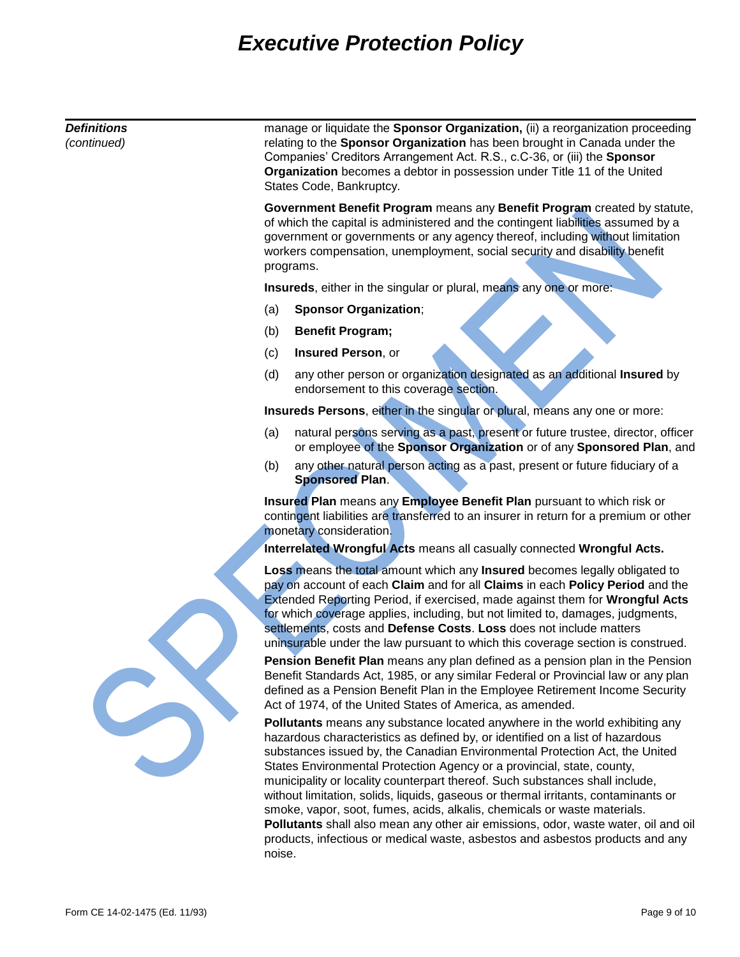| <b>Definitions</b><br>(continued) | manage or liquidate the Sponsor Organization, (ii) a reorganization proceeding<br>relating to the Sponsor Organization has been brought in Canada under the<br>Companies' Creditors Arrangement Act. R.S., c.C-36, or (iii) the Sponsor<br>Organization becomes a debtor in possession under Title 11 of the United<br>States Code, Bankruptcy. |                                                                                                                                                                                                                                                                                                                                                                                                                                                                                                                                                                                                                                                                                                                                                |  |  |
|-----------------------------------|-------------------------------------------------------------------------------------------------------------------------------------------------------------------------------------------------------------------------------------------------------------------------------------------------------------------------------------------------|------------------------------------------------------------------------------------------------------------------------------------------------------------------------------------------------------------------------------------------------------------------------------------------------------------------------------------------------------------------------------------------------------------------------------------------------------------------------------------------------------------------------------------------------------------------------------------------------------------------------------------------------------------------------------------------------------------------------------------------------|--|--|
|                                   | Government Benefit Program means any Benefit Program created by statute,<br>of which the capital is administered and the contingent liabilities assumed by a<br>government or governments or any agency thereof, including without limitation<br>workers compensation, unemployment, social security and disability benefit<br>programs.        |                                                                                                                                                                                                                                                                                                                                                                                                                                                                                                                                                                                                                                                                                                                                                |  |  |
|                                   | Insureds, either in the singular or plural, means any one or more:                                                                                                                                                                                                                                                                              |                                                                                                                                                                                                                                                                                                                                                                                                                                                                                                                                                                                                                                                                                                                                                |  |  |
|                                   | (a)                                                                                                                                                                                                                                                                                                                                             | <b>Sponsor Organization;</b>                                                                                                                                                                                                                                                                                                                                                                                                                                                                                                                                                                                                                                                                                                                   |  |  |
|                                   | (b)                                                                                                                                                                                                                                                                                                                                             | <b>Benefit Program;</b>                                                                                                                                                                                                                                                                                                                                                                                                                                                                                                                                                                                                                                                                                                                        |  |  |
|                                   | (c)                                                                                                                                                                                                                                                                                                                                             | Insured Person, or                                                                                                                                                                                                                                                                                                                                                                                                                                                                                                                                                                                                                                                                                                                             |  |  |
|                                   | (d)                                                                                                                                                                                                                                                                                                                                             | any other person or organization designated as an additional Insured by<br>endorsement to this coverage section.                                                                                                                                                                                                                                                                                                                                                                                                                                                                                                                                                                                                                               |  |  |
|                                   |                                                                                                                                                                                                                                                                                                                                                 | Insureds Persons, either in the singular or plural, means any one or more:                                                                                                                                                                                                                                                                                                                                                                                                                                                                                                                                                                                                                                                                     |  |  |
|                                   | (a)                                                                                                                                                                                                                                                                                                                                             | natural persons serving as a past, present or future trustee, director, officer<br>or employee of the Sponsor Organization or of any Sponsored Plan, and                                                                                                                                                                                                                                                                                                                                                                                                                                                                                                                                                                                       |  |  |
|                                   | (b)                                                                                                                                                                                                                                                                                                                                             | any other natural person acting as a past, present or future fiduciary of a<br><b>Sponsored Plan.</b>                                                                                                                                                                                                                                                                                                                                                                                                                                                                                                                                                                                                                                          |  |  |
|                                   |                                                                                                                                                                                                                                                                                                                                                 | Insured Plan means any Employee Benefit Plan pursuant to which risk or<br>contingent liabilities are transferred to an insurer in return for a premium or other<br>monetary consideration.                                                                                                                                                                                                                                                                                                                                                                                                                                                                                                                                                     |  |  |
|                                   |                                                                                                                                                                                                                                                                                                                                                 | Interrelated Wrongful Acts means all casually connected Wrongful Acts.                                                                                                                                                                                                                                                                                                                                                                                                                                                                                                                                                                                                                                                                         |  |  |
|                                   |                                                                                                                                                                                                                                                                                                                                                 | Loss means the total amount which any Insured becomes legally obligated to<br>pay on account of each Claim and for all Claims in each Policy Period and the<br>Extended Reporting Period, if exercised, made against them for Wrongful Acts<br>for which coverage applies, including, but not limited to, damages, judgments,<br>settlements, costs and Defense Costs. Loss does not include matters<br>uninsurable under the law pursuant to which this coverage section is construed.<br>Pension Benefit Plan means any plan defined as a pension plan in the Pension<br>Benefit Standards Act, 1985, or any similar Federal or Provincial law or any plan<br>defined as a Pension Benefit Plan in the Employee Retirement Income Security   |  |  |
|                                   |                                                                                                                                                                                                                                                                                                                                                 | Act of 1974, of the United States of America, as amended.                                                                                                                                                                                                                                                                                                                                                                                                                                                                                                                                                                                                                                                                                      |  |  |
|                                   | noise.                                                                                                                                                                                                                                                                                                                                          | Pollutants means any substance located anywhere in the world exhibiting any<br>hazardous characteristics as defined by, or identified on a list of hazardous<br>substances issued by, the Canadian Environmental Protection Act, the United<br>States Environmental Protection Agency or a provincial, state, county,<br>municipality or locality counterpart thereof. Such substances shall include,<br>without limitation, solids, liquids, gaseous or thermal irritants, contaminants or<br>smoke, vapor, soot, fumes, acids, alkalis, chemicals or waste materials.<br>Pollutants shall also mean any other air emissions, odor, waste water, oil and oil<br>products, infectious or medical waste, asbestos and asbestos products and any |  |  |